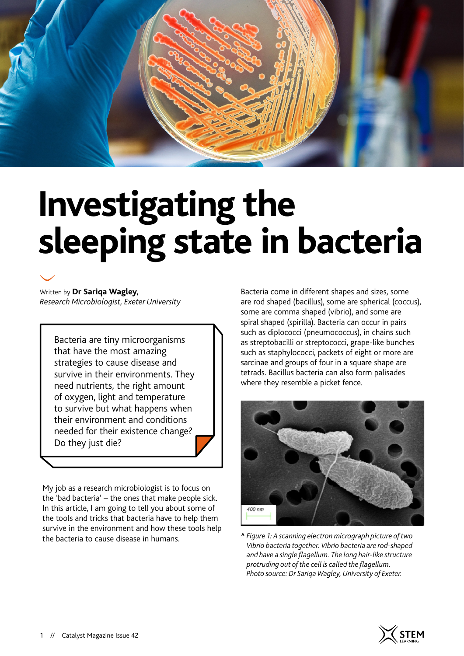

# **Investigating the sleeping state in bacteria**

Written by **Dr Sariqa Wagley,**  *Research Microbiologist, Exeter University*

Bacteria are tiny microorganisms that have the most amazing strategies to cause disease and survive in their environments. They need nutrients, the right amount of oxygen, light and temperature to survive but what happens when their environment and conditions needed for their existence change? Do they just die?

My job as a research microbiologist is to focus on the 'bad bacteria' – the ones that make people sick. In this article, I am going to tell you about some of the tools and tricks that bacteria have to help them survive in the environment and how these tools help the bacteria to cause disease in humans.

Bacteria come in different shapes and sizes, some are rod shaped (bacillus), some are spherical (coccus), some are comma shaped (vibrio), and some are spiral shaped (spirilla). Bacteria can occur in pairs such as diplococci (pneumococcus), in chains such as streptobacilli or streptococci, grape-like bunches such as staphylococci, packets of eight or more are sarcinae and groups of four in a square shape are tetrads. Bacillus bacteria can also form palisades where they resemble a picket fence.



**^** *Figure 1: A scanning electron micrograph picture of two Vibrio bacteria together. Vibrio bacteria are rod-shaped and have a single flagellum. The long hair-like structure protruding out of the cell is called the flagellum. Photo source: Dr Sariqa Wagley, University of Exeter.*

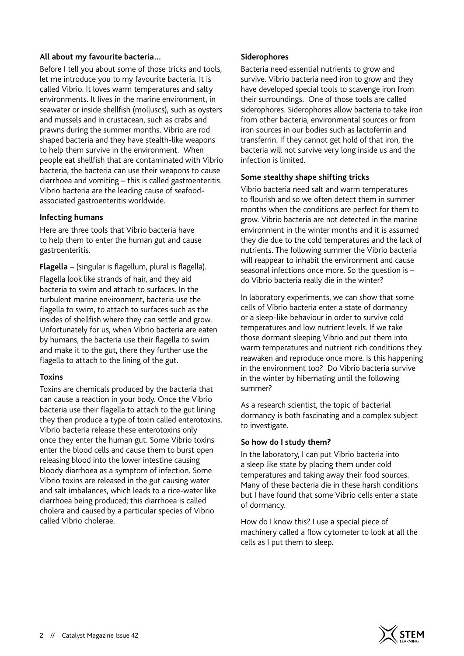#### **All about my favourite bacteria…**

Before I tell you about some of those tricks and tools, let me introduce you to my favourite bacteria. It is called Vibrio. It loves warm temperatures and salty environments. It lives in the marine environment, in seawater or inside shellfish (molluscs), such as oysters and mussels and in crustacean, such as crabs and prawns during the summer months. Vibrio are rod shaped bacteria and they have stealth-like weapons to help them survive in the environment. When people eat shellfish that are contaminated with Vibrio bacteria, the bacteria can use their weapons to cause diarrhoea and vomiting – this is called gastroenteritis. Vibrio bacteria are the leading cause of seafoodassociated gastroenteritis worldwide.

#### **Infecting humans**

Here are three tools that Vibrio bacteria have to help them to enter the human gut and cause gastroenteritis.

**Flagella** – (singular is flagellum, plural is flagella). Flagella look like strands of hair, and they aid bacteria to swim and attach to surfaces. In the turbulent marine environment, bacteria use the flagella to swim, to attach to surfaces such as the insides of shellfish where they can settle and grow. Unfortunately for us, when Vibrio bacteria are eaten by humans, the bacteria use their flagella to swim and make it to the gut, there they further use the flagella to attach to the lining of the gut.

## **Toxins**

Toxins are chemicals produced by the bacteria that can cause a reaction in your body. Once the Vibrio bacteria use their flagella to attach to the gut lining they then produce a type of toxin called enterotoxins. Vibrio bacteria release these enterotoxins only once they enter the human gut. Some Vibrio toxins enter the blood cells and cause them to burst open releasing blood into the lower intestine causing bloody diarrhoea as a symptom of infection. Some Vibrio toxins are released in the gut causing water and salt imbalances, which leads to a rice-water like diarrhoea being produced; this diarrhoea is called cholera and caused by a particular species of Vibrio called Vibrio cholerae.

### **Siderophores**

Bacteria need essential nutrients to grow and survive. Vibrio bacteria need iron to grow and they have developed special tools to scavenge iron from their surroundings. One of those tools are called siderophores. Siderophores allow bacteria to take iron from other bacteria, environmental sources or from iron sources in our bodies such as lactoferrin and transferrin. If they cannot get hold of that iron, the bacteria will not survive very long inside us and the infection is limited.

## **Some stealthy shape shifting tricks**

Vibrio bacteria need salt and warm temperatures to flourish and so we often detect them in summer months when the conditions are perfect for them to grow. Vibrio bacteria are not detected in the marine environment in the winter months and it is assumed they die due to the cold temperatures and the lack of nutrients. The following summer the Vibrio bacteria will reappear to inhabit the environment and cause seasonal infections once more. So the question is – do Vibrio bacteria really die in the winter?

In laboratory experiments, we can show that some cells of Vibrio bacteria enter a state of dormancy or a sleep-like behaviour in order to survive cold temperatures and low nutrient levels. If we take those dormant sleeping Vibrio and put them into warm temperatures and nutrient rich conditions they reawaken and reproduce once more. Is this happening in the environment too? Do Vibrio bacteria survive in the winter by hibernating until the following summer?

As a research scientist, the topic of bacterial dormancy is both fascinating and a complex subject to investigate.

## **So how do I study them?**

In the laboratory, I can put Vibrio bacteria into a sleep like state by placing them under cold temperatures and taking away their food sources. Many of these bacteria die in these harsh conditions but I have found that some Vibrio cells enter a state of dormancy.

How do I know this? I use a special piece of machinery called a flow cytometer to look at all the cells as I put them to sleep.

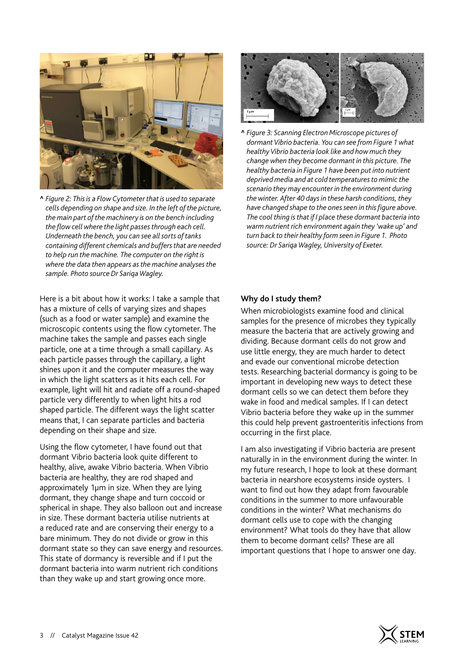

**^** *Figure 2: This is a Flow Cytometer that is used to separate cells depending on shape and size. In the left of the picture, the main part of the machinery is on the bench including the flow cell where the light passes through each cell. Underneath the bench, you can see all sorts of tanks containing different chemicals and buffers that are needed to help run the machine. The computer on the right is where the data then appears as the machine analyses the sample. Photo source Dr Sariqa Wagley.*

Here is a bit about how it works: I take a sample that has a mixture of cells of varying sizes and shapes (such as a food or water sample) and examine the microscopic contents using the flow cytometer. The machine takes the sample and passes each single particle, one at a time through a small capillary. As each particle passes through the capillary, a light shines upon it and the computer measures the way in which the light scatters as it hits each cell. For example, light will hit and radiate off a round-shaped particle very differently to when light hits a rod shaped particle. The different ways the light scatter means that, I can separate particles and bacteria depending on their shape and size.

Using the flow cytometer, I have found out that dormant Vibrio bacteria look quite different to healthy, alive, awake Vibrio bacteria. When Vibrio bacteria are healthy, they are rod shaped and approximately 1µm in size. When they are lying dormant, they change shape and turn coccoid or spherical in shape. They also balloon out and increase in size. These dormant bacteria utilise nutrients at a reduced rate and are conserving their energy to a bare minimum. They do not divide or grow in this dormant state so they can save energy and resources. This state of dormancy is reversible and if I put the dormant bacteria into warm nutrient rich conditions than they wake up and start growing once more.



**^** *Figure 3: Scanning Electron Microscope pictures of dormant Vibrio bacteria. You can see from Figure 1 what healthy Vibrio bacteria look like and how much they change when they become dormant in this picture. The healthy bacteria in Figure 1 have been put into nutrient deprived media and at cold temperatures to mimic the scenario they may encounter in the environment during the winter. After 40 days in these harsh conditions, they have changed shape to the ones seen in this figure above. The cool thing is that if I place these dormant bacteria into warm nutrient rich environment again they 'wake up' and turn back to their healthy form seen in Figure 1. Photo source: Dr Sariqa Wagley, University of Exeter.*

### **Why do I study them?**

When microbiologists examine food and clinical samples for the presence of microbes they typically measure the bacteria that are actively growing and dividing. Because dormant cells do not grow and use little energy, they are much harder to detect and evade our conventional microbe detection tests. Researching bacterial dormancy is going to be important in developing new ways to detect these dormant cells so we can detect them before they wake in food and medical samples. If I can detect Vibrio bacteria before they wake up in the summer this could help prevent gastroenteritis infections from occurring in the first place.

I am also investigating if Vibrio bacteria are present naturally in in the environment during the winter. In my future research, I hope to look at these dormant bacteria in nearshore ecosystems inside oysters. I want to find out how they adapt from favourable conditions in the summer to more unfavourable conditions in the winter? What mechanisms do dormant cells use to cope with the changing environment? What tools do they have that allow them to become dormant cells? These are all important questions that I hope to answer one day.